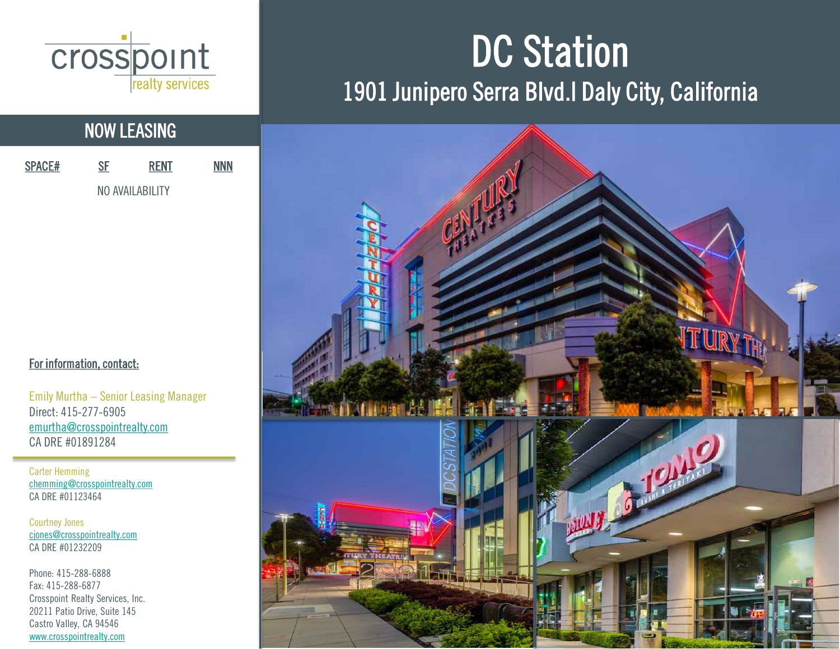

## NOW LEASING

| <b>SPACE#</b> | SF              | <b>RENT</b> | <b>NNN</b> |
|---------------|-----------------|-------------|------------|
|               | NO AVAILABILITY |             |            |

#### For information, contact:

Emily Murtha – Senior Leasing Manager Direct: 415-277-6905 [emurtha@crosspointrealty.com](mailto:emurtha@crosspointrealty.com) CA DRE #01891284

Carter Hemming [chemming@crosspointrealty.com](mailto:chemming@crosspointrealty.com) CA DRE #01123464

Courtney Jones [cjones@crosspointrealty.com](mailto:cjones@crosspointrealty.com) CA DRE #01232209

Phone: 415-288-6888 Fax: 415-288-6877 Crosspoint Realty Services, Inc. 20211 Patio Drive, Suite 145 Castro Valley, CA 94546 [www.crosspointrealty.com](http://www.crosspointrealty.com/)

# DC Station 1901 Junipero Serra Blvd.I Daly City, California

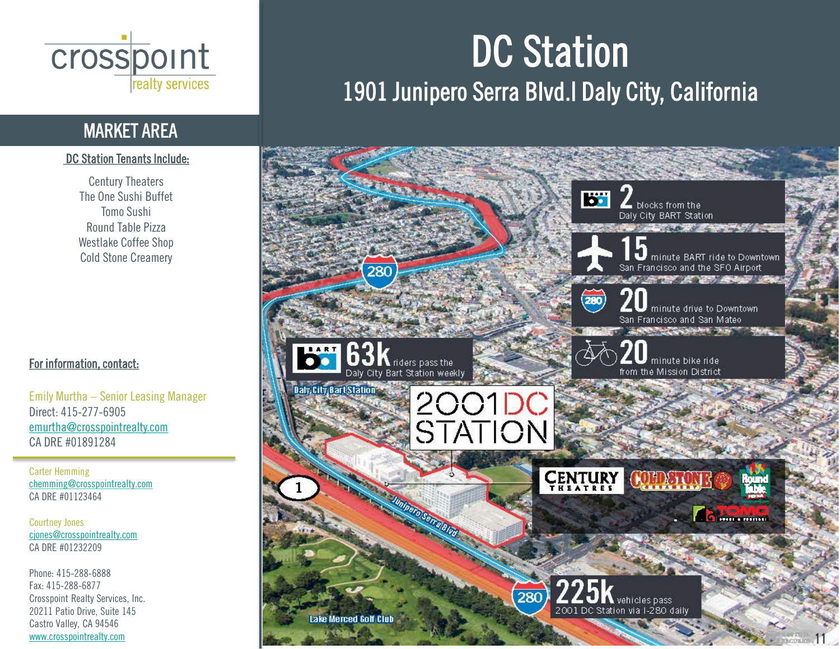

## MARKET AREA

### DC Station Tenants Include:

Century Theaters The One Sushi Buffet Tomo Sushi Round Table Pizza Westlake Coffee Shop Cold Stone Creamery

### For information, contact:

Emily Murtha – Senior Leasing Manager Direct: 415-277-6905 [emurtha@crosspointrealty.com](mailto:emurtha@crosspointrealty.com) CA DRE #01891284

Carter Hemming [chemming@crosspointrealty.com](mailto:chemming@crosspointrealty.com) CA DRE #01123464

Courtney Jones [cjones@crosspointrealty.com](mailto:cjones@crosspointrealty.com) CA DRE #01232209

Phone: 415-288-6888 Fax: 415-288-6877 Crosspoint Realty Services, Inc. 20211 Patio Drive, Suite 145 Castro Valley, CA 94546 [www.crosspointrealty.com](http://www.crosspointrealty.com/)

# DC Station 1901 Junipero Serra Blvd.I Daly City, California